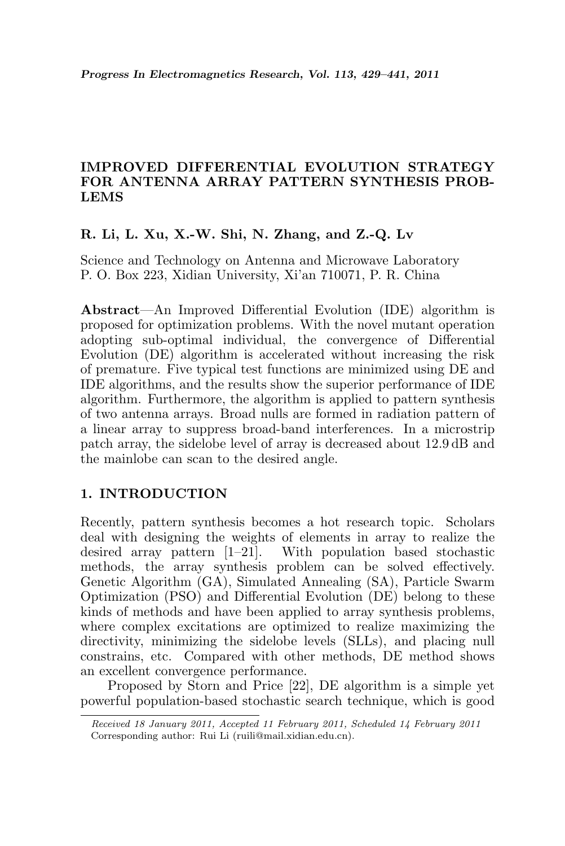# IMPROVED DIFFERENTIAL EVOLUTION STRATEGY FOR ANTENNA ARRAY PATTERN SYNTHESIS PROB-LEMS

## R. Li, L. Xu, X.-W. Shi, N. Zhang, and Z.-Q. Lv

Science and Technology on Antenna and Microwave Laboratory P. O. Box 223, Xidian University, Xi'an 710071, P. R. China

Abstract—An Improved Differential Evolution (IDE) algorithm is proposed for optimization problems. With the novel mutant operation adopting sub-optimal individual, the convergence of Differential Evolution (DE) algorithm is accelerated without increasing the risk of premature. Five typical test functions are minimized using DE and IDE algorithms, and the results show the superior performance of IDE algorithm. Furthermore, the algorithm is applied to pattern synthesis of two antenna arrays. Broad nulls are formed in radiation pattern of a linear array to suppress broad-band interferences. In a microstrip patch array, the sidelobe level of array is decreased about 12.9 dB and the mainlobe can scan to the desired angle.

### 1. INTRODUCTION

Recently, pattern synthesis becomes a hot research topic. Scholars deal with designing the weights of elements in array to realize the desired array pattern  $[1-21]$ . With population based stochastic methods, the array synthesis problem can be solved effectively. Genetic Algorithm (GA), Simulated Annealing (SA), Particle Swarm Optimization (PSO) and Differential Evolution (DE) belong to these kinds of methods and have been applied to array synthesis problems, where complex excitations are optimized to realize maximizing the directivity, minimizing the sidelobe levels (SLLs), and placing null constrains, etc. Compared with other methods, DE method shows an excellent convergence performance.

Proposed by Storn and Price [22], DE algorithm is a simple yet powerful population-based stochastic search technique, which is good

Received 18 January 2011, Accepted 11 February 2011, Scheduled 14 February 2011 Corresponding author: Rui Li (ruili@mail.xidian.edu.cn).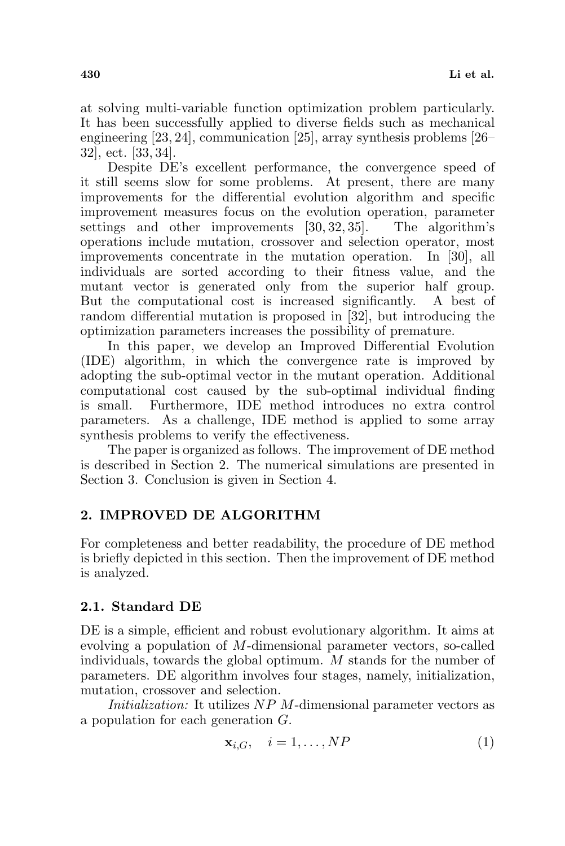at solving multi-variable function optimization problem particularly. It has been successfully applied to diverse fields such as mechanical engineering [23, 24], communication [25], array synthesis problems [26– 32], ect. [33, 34].

Despite DE's excellent performance, the convergence speed of it still seems slow for some problems. At present, there are many improvements for the differential evolution algorithm and specific improvement measures focus on the evolution operation, parameter settings and other improvements [30, 32, 35]. The algorithm's operations include mutation, crossover and selection operator, most improvements concentrate in the mutation operation. In [30], all individuals are sorted according to their fitness value, and the mutant vector is generated only from the superior half group. But the computational cost is increased significantly. A best of random differential mutation is proposed in [32], but introducing the optimization parameters increases the possibility of premature.

In this paper, we develop an Improved Differential Evolution (IDE) algorithm, in which the convergence rate is improved by adopting the sub-optimal vector in the mutant operation. Additional computational cost caused by the sub-optimal individual finding is small. Furthermore, IDE method introduces no extra control parameters. As a challenge, IDE method is applied to some array synthesis problems to verify the effectiveness.

The paper is organized as follows. The improvement of DE method is described in Section 2. The numerical simulations are presented in Section 3. Conclusion is given in Section 4.

# 2. IMPROVED DE ALGORITHM

For completeness and better readability, the procedure of DE method is briefly depicted in this section. Then the improvement of DE method is analyzed.

# 2.1. Standard DE

DE is a simple, efficient and robust evolutionary algorithm. It aims at evolving a population of M-dimensional parameter vectors, so-called individuals, towards the global optimum. M stands for the number of parameters. DE algorithm involves four stages, namely, initialization, mutation, crossover and selection.

Initialization: It utilizes NP M-dimensional parameter vectors as a population for each generation G.

$$
\mathbf{x}_{i,G}, \quad i = 1, \dots, NP \tag{1}
$$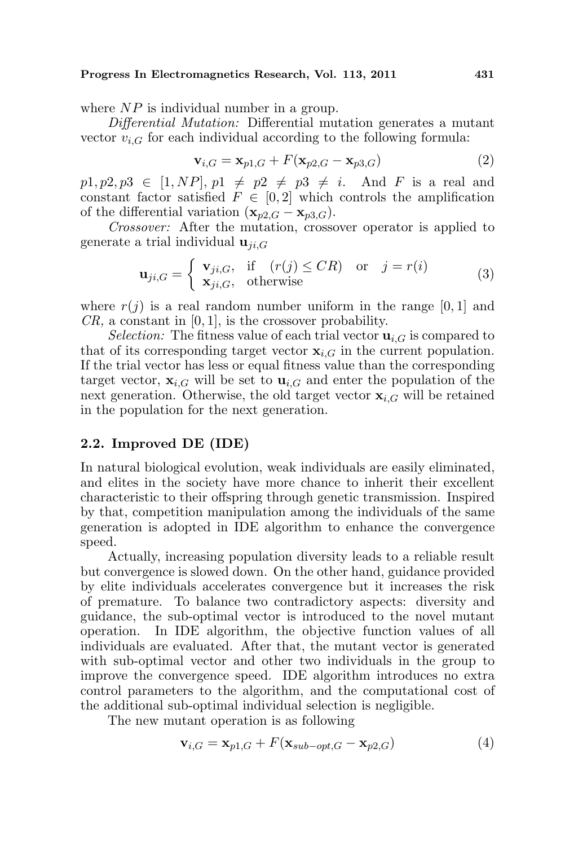#### Progress In Electromagnetics Research, Vol. 113, 2011 431

where  $NP$  is individual number in a group.

Differential Mutation: Differential mutation generates a mutant vector  $v_{i,G}$  for each individual according to the following formula:

$$
\mathbf{v}_{i,G} = \mathbf{x}_{p1,G} + F(\mathbf{x}_{p2,G} - \mathbf{x}_{p3,G})
$$
\n(2)

 $p1, p2, p3 \in [1, NP], p1 \neq p2 \neq p3 \neq i$ . And F is a real and constant factor satisfied  $F \in [0,2]$  which controls the amplification of the differential variation  $(\mathbf{x}_{p2,G} - \mathbf{x}_{p3,G}).$ 

Crossover: After the mutation, crossover operator is applied to generate a trial individual  $\mathbf{u}_{ji,G}$ 

$$
\mathbf{u}_{ji,G} = \begin{cases} \mathbf{v}_{ji,G}, & \text{if } (r(j) \leq CR) \text{ or } j = r(i) \\ \mathbf{x}_{ji,G}, & \text{otherwise} \end{cases}
$$
 (3)

where  $r(j)$  is a real random number uniform in the range [0, 1] and  $CR$ , a constant in [0, 1], is the crossover probability.

*Selection:* The fitness value of each trial vector  $\mathbf{u}_{i,G}$  is compared to that of its corresponding target vector  $\mathbf{x}_{i,G}$  in the current population. If the trial vector has less or equal fitness value than the corresponding target vector,  $\mathbf{x}_{i,G}$  will be set to  $\mathbf{u}_{i,G}$  and enter the population of the next generation. Otherwise, the old target vector  $\mathbf{x}_{i,G}$  will be retained in the population for the next generation.

### 2.2. Improved DE (IDE)

In natural biological evolution, weak individuals are easily eliminated, and elites in the society have more chance to inherit their excellent characteristic to their offspring through genetic transmission. Inspired by that, competition manipulation among the individuals of the same generation is adopted in IDE algorithm to enhance the convergence speed.

Actually, increasing population diversity leads to a reliable result but convergence is slowed down. On the other hand, guidance provided by elite individuals accelerates convergence but it increases the risk of premature. To balance two contradictory aspects: diversity and guidance, the sub-optimal vector is introduced to the novel mutant operation. In IDE algorithm, the objective function values of all individuals are evaluated. After that, the mutant vector is generated with sub-optimal vector and other two individuals in the group to improve the convergence speed. IDE algorithm introduces no extra control parameters to the algorithm, and the computational cost of the additional sub-optimal individual selection is negligible.

The new mutant operation is as following

$$
\mathbf{v}_{i,G} = \mathbf{x}_{p1,G} + F(\mathbf{x}_{sub-opt,G} - \mathbf{x}_{p2,G})
$$
(4)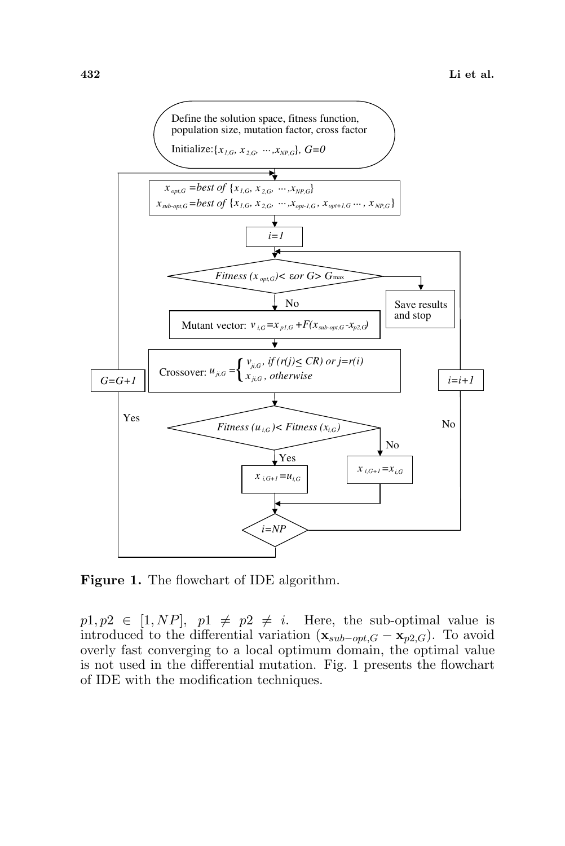

Figure 1. The flowchart of IDE algorithm.

 $p1, p2 \in [1, NP], p1 \neq p2 \neq i$ . Here, the sub-optimal value is introduced to the differential variation  $(\mathbf{x}_{sub-opt,G} - \mathbf{x}_{p2,G})$ . To avoid overly fast converging to a local optimum domain, the optimal value is not used in the differential mutation. Fig. 1 presents the flowchart of IDE with the modification techniques.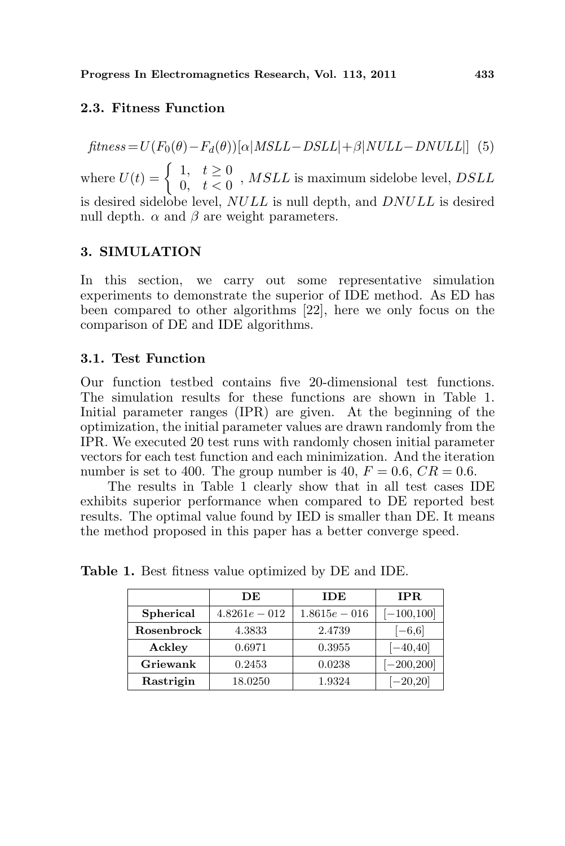### 2.3. Fitness Function

 $fitness = U(F_0(\theta) - F_d(\theta))[\alpha|MSLL - DSLL| + \beta|NULL - DNULL|]$  (5) where  $U(t) = \begin{cases} 1, & t \geq 0 \\ 0, & t < 0 \end{cases}$  $\begin{array}{ll} 1, & t \leq 0 \ 0, & t < 0 \end{array}$ , MSLL is maximum sidelobe level, DSLL is desired sidelobe level, NULL is null depth, and DNULL is desired null depth.  $\alpha$  and  $\beta$  are weight parameters.

### 3. SIMULATION

In this section, we carry out some representative simulation experiments to demonstrate the superior of IDE method. As ED has been compared to other algorithms [22], here we only focus on the comparison of DE and IDE algorithms.

#### 3.1. Test Function

Our function testbed contains five 20-dimensional test functions. The simulation results for these functions are shown in Table 1. Initial parameter ranges (IPR) are given. At the beginning of the optimization, the initial parameter values are drawn randomly from the IPR. We executed 20 test runs with randomly chosen initial parameter vectors for each test function and each minimization. And the iteration number is set to 400. The group number is 40,  $F = 0.6$ ,  $CR = 0.6$ .

The results in Table 1 clearly show that in all test cases IDE exhibits superior performance when compared to DE reported best results. The optimal value found by IED is smaller than DE. It means the method proposed in this paper has a better converge speed.

|            | DЕ              | <b>IDE</b>      | IPR.          |
|------------|-----------------|-----------------|---------------|
| Spherical  | $4.8261e - 012$ | $1.8615e - 016$ | $[-100, 100]$ |
| Rosenbrock | 4.3833          | 2.4739          | $[-6,6]$      |
| Ackley     | 0.6971          | 0.3955          | $[-40, 40]$   |
| Griewank   | 0.2453          | 0.0238          | $[-200, 200]$ |
| Rastrigin  | 18.0250         | 1.9324          | $[-20, 20]$   |

Table 1. Best fitness value optimized by DE and IDE.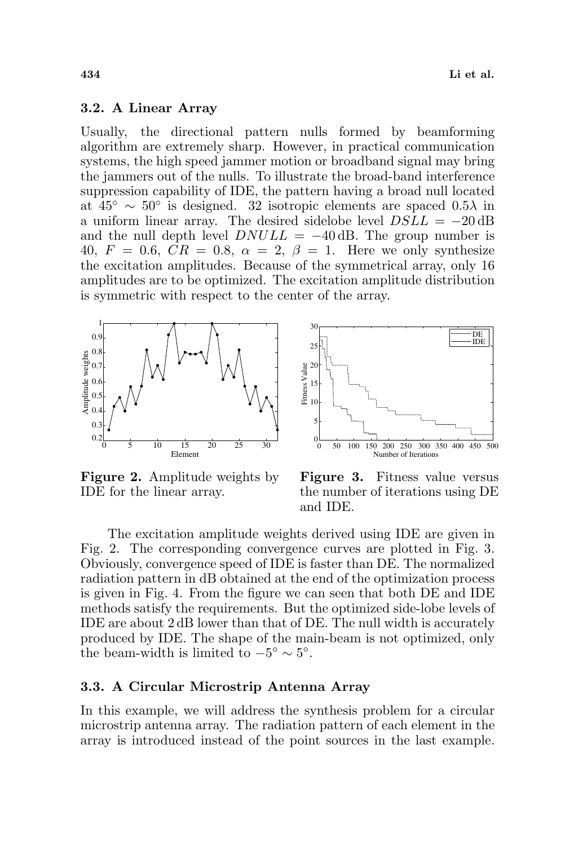#### 3.2. A Linear Array

Usually, the directional pattern nulls formed by beamforming algorithm are extremely sharp. However, in practical communication systems, the high speed jammer motion or broadband signal may bring the jammers out of the nulls. To illustrate the broad-band interference suppression capability of IDE, the pattern having a broad null located at  $45^{\circ} \sim 50^{\circ}$  is designed. 32 isotropic elements are spaced 0.5 $\lambda$  in a uniform linear array. The desired sidelobe level  $DSLL = -20 \text{ dB}$ and the null depth level  $DNULL = -40$  dB. The group number is 40,  $F = 0.6$ ,  $CR = 0.8$ ,  $\alpha = 2$ ,  $\beta = 1$ . Here we only synthesize the excitation amplitudes. Because of the symmetrical array, only 16 amplitudes are to be optimized. The excitation amplitude distribution is symmetric with respect to the center of the array.

30



0 50 100 150 200 250 300 350 400 450  $\theta$ 5 10 15  $\frac{20}{3}$ <br> $\frac{20}{15}$ <br> $\frac{20}{10}$ <br> $\frac{15}{10}$  $25$ Number of Iterations DE IDE

Figure 2. Amplitude weights by IDE for the linear array.

Figure 3. Fitness value versus the number of iterations using DE and IDE.

The excitation amplitude weights derived using IDE are given in Fig. 2. The corresponding convergence curves are plotted in Fig. 3. Obviously, convergence speed of IDE is faster than DE. The normalized radiation pattern in dB obtained at the end of the optimization process is given in Fig. 4. From the figure we can seen that both DE and IDE methods satisfy the requirements. But the optimized side-lobe levels of IDE are about 2 dB lower than that of DE. The null width is accurately produced by IDE. The shape of the main-beam is not optimized, only the beam-width is limited to  $-5^{\circ} \sim 5^{\circ}$ .

#### 3.3. A Circular Microstrip Antenna Array

In this example, we will address the synthesis problem for a circular microstrip antenna array. The radiation pattern of each element in the array is introduced instead of the point sources in the last example.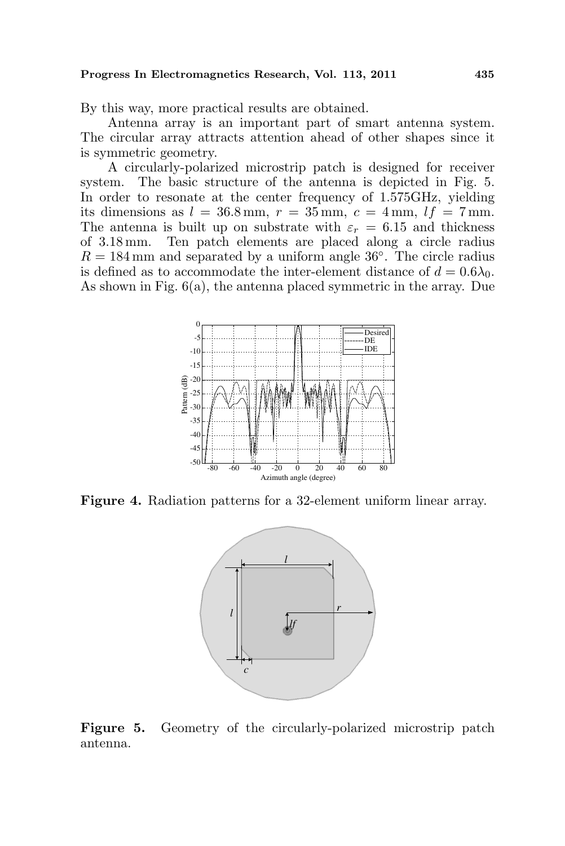By this way, more practical results are obtained.

Antenna array is an important part of smart antenna system. The circular array attracts attention ahead of other shapes since it is symmetric geometry.

A circularly-polarized microstrip patch is designed for receiver system. The basic structure of the antenna is depicted in Fig. 5. In order to resonate at the center frequency of 1.575GHz, yielding its dimensions as  $l = 36.8$  mm,  $r = 35$  mm,  $c = 4$  mm,  $lf = 7$  mm. The antenna is built up on substrate with  $\varepsilon_r = 6.15$  and thickness of 3.18 mm. Ten patch elements are placed along a circle radius  $R = 184 \,\mathrm{mm}$  and separated by a uniform angle 36°. The circle radius is defined as to accommodate the inter-element distance of  $d = 0.6\lambda_0$ . As shown in Fig. 6(a), the antenna placed symmetric in the array. Due



Figure 4. Radiation patterns for a 32-element uniform linear array.



Figure 5. Geometry of the circularly-polarized microstrip patch antenna.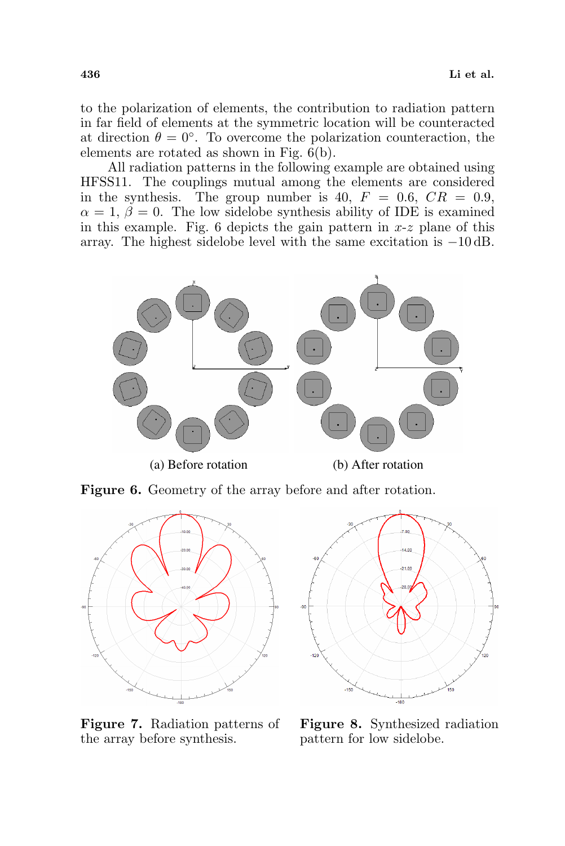to the polarization of elements, the contribution to radiation pattern in far field of elements at the symmetric location will be counteracted at direction  $\theta = 0^{\circ}$ . To overcome the polarization counteraction, the elements are rotated as shown in Fig. 6(b).

All radiation patterns in the following example are obtained using HFSS11. The couplings mutual among the elements are considered in the synthesis. The group number is 40,  $F = 0.6$ ,  $CR = 0.9$ ,  $\alpha = 1, \beta = 0$ . The low sidelobe synthesis ability of IDE is examined in this example. Fig. 6 depicts the gain pattern in  $x-z$  plane of this array. The highest sidelobe level with the same excitation is −10 dB.



Figure 6. Geometry of the array before and after rotation.





Figure 7. Radiation patterns of the array before synthesis.

Figure 8. Synthesized radiation pattern for low sidelobe.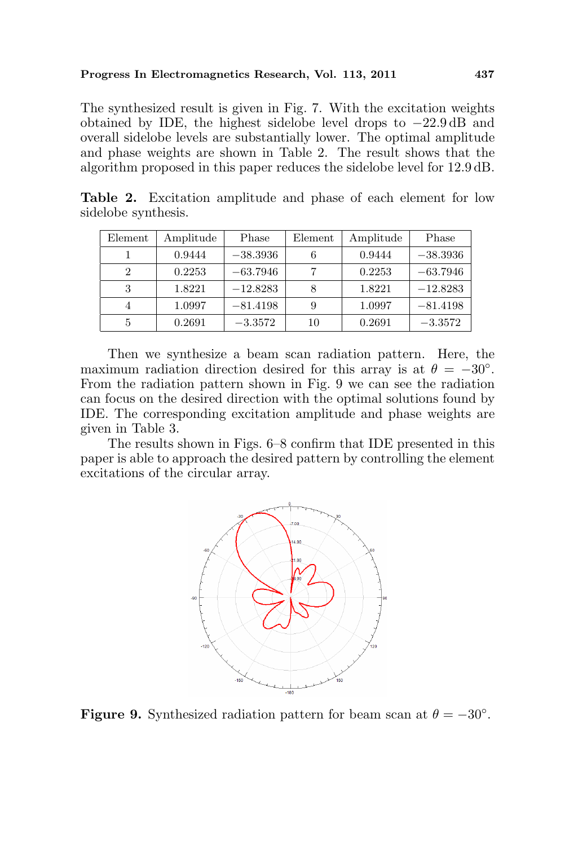The synthesized result is given in Fig. 7. With the excitation weights obtained by IDE, the highest sidelobe level drops to −22.9 dB and overall sidelobe levels are substantially lower. The optimal amplitude and phase weights are shown in Table 2. The result shows that the algorithm proposed in this paper reduces the sidelobe level for 12.9 dB.

| Element        | Amplitude | Phase      | Element | Amplitude | Phase      |
|----------------|-----------|------------|---------|-----------|------------|
|                | 0.9444    | $-38.3936$ |         | 0.9444    | $-38.3936$ |
| $\overline{2}$ | 0.2253    | $-63.7946$ | 7       | 0.2253    | $-63.7946$ |
| 3              | 1.8221    | $-12.8283$ |         | 1.8221    | $-12.8283$ |
| 4              | 1.0997    | $-81.4198$ |         | 1.0997    | $-81.4198$ |
| 5              | 0.2691    | $-3.3572$  | 10      | 0.2691    | $-3.3572$  |

Table 2. Excitation amplitude and phase of each element for low sidelobe synthesis.

Then we synthesize a beam scan radiation pattern. Here, the maximum radiation direction desired for this array is at  $\theta = -30^{\circ}$ . From the radiation pattern shown in Fig. 9 we can see the radiation can focus on the desired direction with the optimal solutions found by IDE. The corresponding excitation amplitude and phase weights are given in Table 3.

The results shown in Figs. 6–8 confirm that IDE presented in this paper is able to approach the desired pattern by controlling the element excitations of the circular array.



Figure 9. Synthesized radiation pattern for beam scan at  $\theta = -30^{\circ}$ .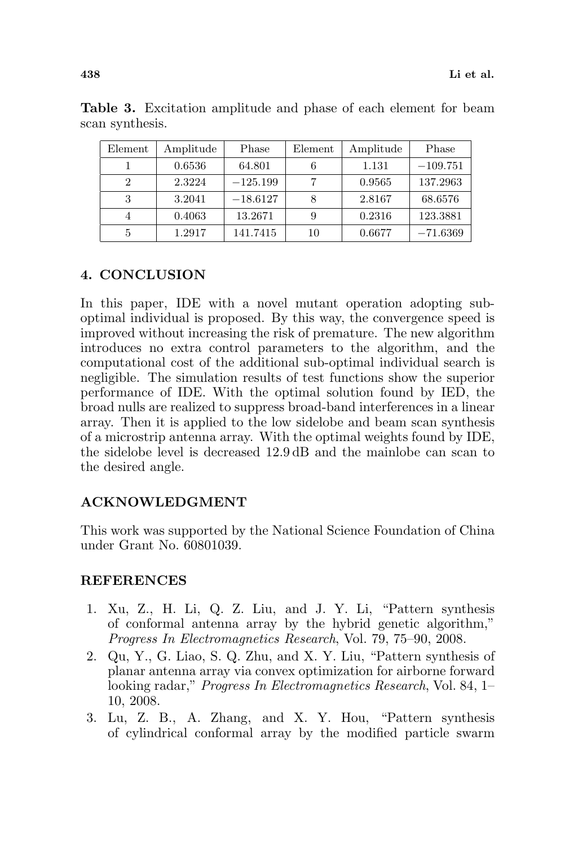| Element | Amplitude | Phase      | Element | Amplitude | Phase      |
|---------|-----------|------------|---------|-----------|------------|
|         | 0.6536    | 64.801     |         | 1.131     | $-109.751$ |
| 2       | 2.3224    | $-125.199$ |         | 0.9565    | 137.2963   |
| 3       | 3.2041    | $-18.6127$ |         | 2.8167    | 68.6576    |
|         | 0.4063    | 13.2671    |         | 0.2316    | 123.3881   |
| 5       | 1.2917    | 141.7415   | 10      | 0.6677    | $-71.6369$ |

Table 3. Excitation amplitude and phase of each element for beam scan synthesis.

# 4. CONCLUSION

In this paper, IDE with a novel mutant operation adopting suboptimal individual is proposed. By this way, the convergence speed is improved without increasing the risk of premature. The new algorithm introduces no extra control parameters to the algorithm, and the computational cost of the additional sub-optimal individual search is negligible. The simulation results of test functions show the superior performance of IDE. With the optimal solution found by IED, the broad nulls are realized to suppress broad-band interferences in a linear array. Then it is applied to the low sidelobe and beam scan synthesis of a microstrip antenna array. With the optimal weights found by IDE, the sidelobe level is decreased 12.9 dB and the mainlobe can scan to the desired angle.

### ACKNOWLEDGMENT

This work was supported by the National Science Foundation of China under Grant No. 60801039.

### REFERENCES

- 1. Xu, Z., H. Li, Q. Z. Liu, and J. Y. Li, "Pattern synthesis of conformal antenna array by the hybrid genetic algorithm," Progress In Electromagnetics Research, Vol. 79, 75–90, 2008.
- 2. Qu, Y., G. Liao, S. Q. Zhu, and X. Y. Liu, "Pattern synthesis of planar antenna array via convex optimization for airborne forward looking radar," Progress In Electromagnetics Research, Vol. 84, 1– 10, 2008.
- 3. Lu, Z. B., A. Zhang, and X. Y. Hou, "Pattern synthesis of cylindrical conformal array by the modified particle swarm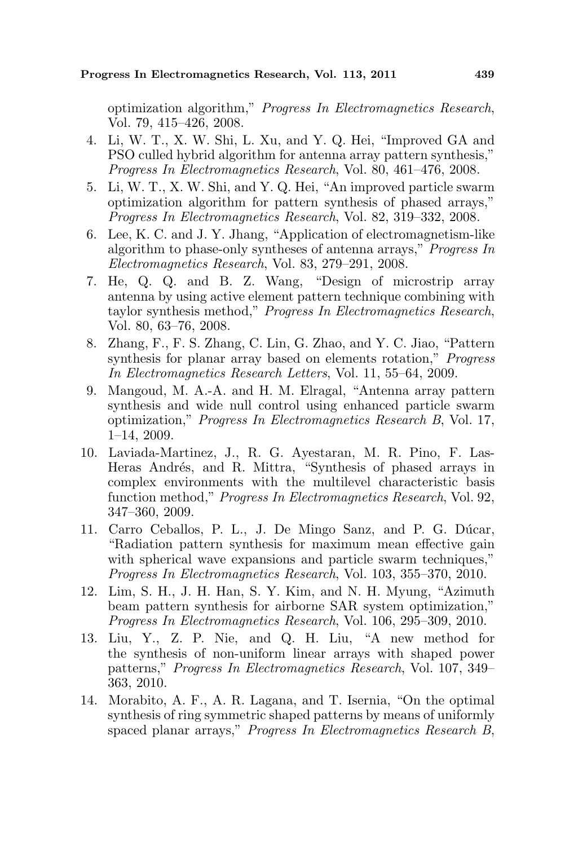optimization algorithm," Progress In Electromagnetics Research, Vol. 79, 415–426, 2008.

- 4. Li, W. T., X. W. Shi, L. Xu, and Y. Q. Hei, "Improved GA and PSO culled hybrid algorithm for antenna array pattern synthesis," Progress In Electromagnetics Research, Vol. 80, 461–476, 2008.
- 5. Li, W. T., X. W. Shi, and Y. Q. Hei, "An improved particle swarm optimization algorithm for pattern synthesis of phased arrays," Progress In Electromagnetics Research, Vol. 82, 319–332, 2008.
- 6. Lee, K. C. and J. Y. Jhang, "Application of electromagnetism-like algorithm to phase-only syntheses of antenna arrays," Progress In Electromagnetics Research, Vol. 83, 279–291, 2008.
- 7. He, Q. Q. and B. Z. Wang, "Design of microstrip array antenna by using active element pattern technique combining with taylor synthesis method," Progress In Electromagnetics Research, Vol. 80, 63–76, 2008.
- 8. Zhang, F., F. S. Zhang, C. Lin, G. Zhao, and Y. C. Jiao, "Pattern synthesis for planar array based on elements rotation," *Progress* In Electromagnetics Research Letters, Vol. 11, 55–64, 2009.
- 9. Mangoud, M. A.-A. and H. M. Elragal, "Antenna array pattern synthesis and wide null control using enhanced particle swarm optimization," Progress In Electromagnetics Research B, Vol. 17, 1–14, 2009.
- 10. Laviada-Martinez, J., R. G. Ayestaran, M. R. Pino, F. Las-Heras Andrés, and R. Mittra, "Synthesis of phased arrays in complex environments with the multilevel characteristic basis function method," Progress In Electromagnetics Research, Vol. 92, 347–360, 2009.
- 11. Carro Ceballos, P. L., J. De Mingo Sanz, and P. G. Dúcar, "Radiation pattern synthesis for maximum mean effective gain with spherical wave expansions and particle swarm techniques," Progress In Electromagnetics Research, Vol. 103, 355–370, 2010.
- 12. Lim, S. H., J. H. Han, S. Y. Kim, and N. H. Myung, "Azimuth beam pattern synthesis for airborne SAR system optimization," Progress In Electromagnetics Research, Vol. 106, 295–309, 2010.
- 13. Liu, Y., Z. P. Nie, and Q. H. Liu, "A new method for the synthesis of non-uniform linear arrays with shaped power patterns," Progress In Electromagnetics Research, Vol. 107, 349– 363, 2010.
- 14. Morabito, A. F., A. R. Lagana, and T. Isernia, "On the optimal synthesis of ring symmetric shaped patterns by means of uniformly spaced planar arrays," Progress In Electromagnetics Research B,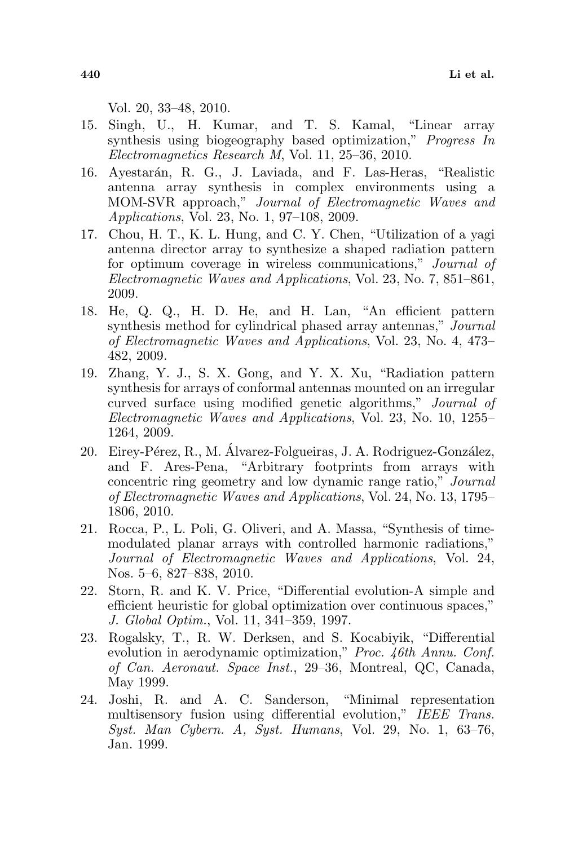Vol. 20, 33–48, 2010.

- 15. Singh, U., H. Kumar, and T. S. Kamal, "Linear array synthesis using biogeography based optimization," Progress In Electromagnetics Research M, Vol. 11, 25–36, 2010.
- 16. Ayestarán, R. G., J. Laviada, and F. Las-Heras, "Realistic antenna array synthesis in complex environments using a MOM-SVR approach," Journal of Electromagnetic Waves and Applications, Vol. 23, No. 1, 97–108, 2009.
- 17. Chou, H. T., K. L. Hung, and C. Y. Chen, "Utilization of a yagi antenna director array to synthesize a shaped radiation pattern for optimum coverage in wireless communications," Journal of Electromagnetic Waves and Applications, Vol. 23, No. 7, 851–861, 2009.
- 18. He, Q. Q., H. D. He, and H. Lan, "An efficient pattern synthesis method for cylindrical phased array antennas," Journal of Electromagnetic Waves and Applications, Vol. 23, No. 4, 473– 482, 2009.
- 19. Zhang, Y. J., S. X. Gong, and Y. X. Xu, "Radiation pattern synthesis for arrays of conformal antennas mounted on an irregular curved surface using modified genetic algorithms," Journal of Electromagnetic Waves and Applications, Vol. 23, No. 10, 1255– 1264, 2009.
- 20. Eirey-Pérez, R., M. Álvarez-Folgueiras, J. A. Rodriguez-González, and F. Ares-Pena, "Arbitrary footprints from arrays with concentric ring geometry and low dynamic range ratio," Journal of Electromagnetic Waves and Applications, Vol. 24, No. 13, 1795– 1806, 2010.
- 21. Rocca, P., L. Poli, G. Oliveri, and A. Massa, "Synthesis of timemodulated planar arrays with controlled harmonic radiations," Journal of Electromagnetic Waves and Applications, Vol. 24, Nos. 5–6, 827–838, 2010.
- 22. Storn, R. and K. V. Price, "Differential evolution-A simple and efficient heuristic for global optimization over continuous spaces," J. Global Optim., Vol. 11, 341–359, 1997.
- 23. Rogalsky, T., R. W. Derksen, and S. Kocabiyik, "Differential evolution in aerodynamic optimization," Proc. 46th Annu. Conf. of Can. Aeronaut. Space Inst., 29–36, Montreal, QC, Canada, May 1999.
- 24. Joshi, R. and A. C. Sanderson, "Minimal representation multisensory fusion using differential evolution," IEEE Trans. Syst. Man Cybern. A, Syst. Humans, Vol. 29, No. 1, 63–76, Jan. 1999.